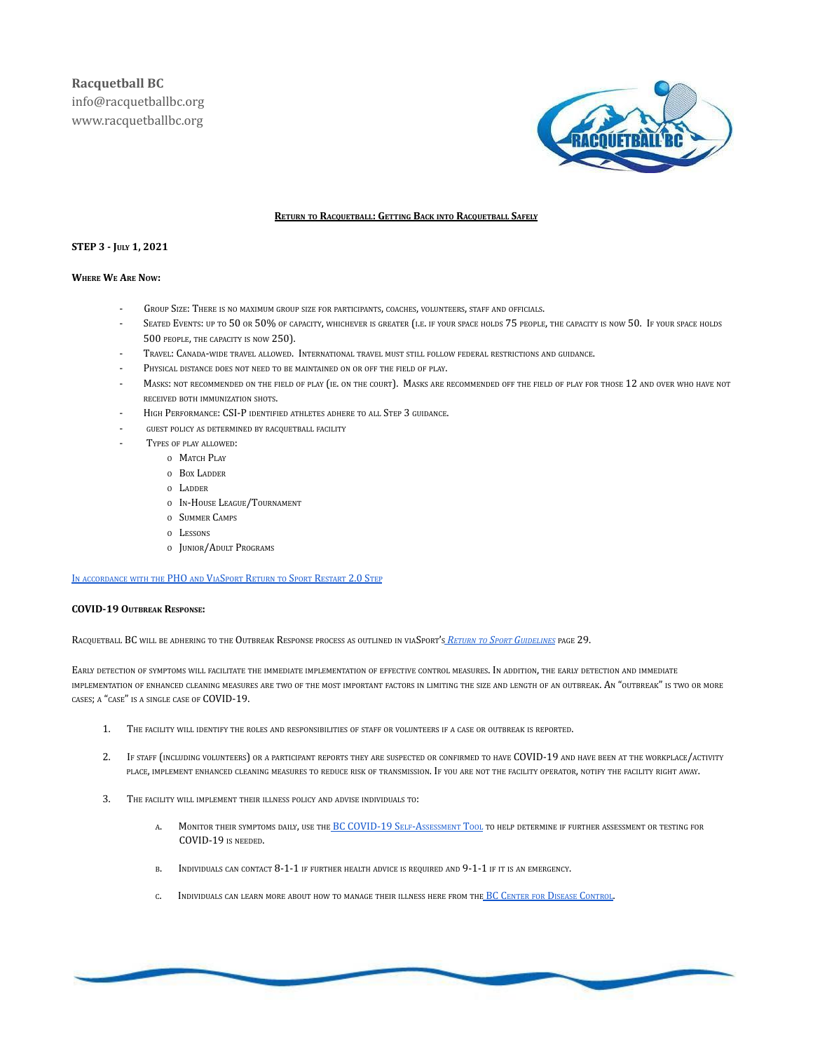

### **RETURN TO RACQUETBALL: GETTING BACK INTO RACQUETBALL SAFELY**

# **STEP 3 - JULY 1, 2021**

# **WHERE W<sup>E</sup> ARE NOW:**

- GROUP SIZE: THERE IS NO MAXIMUM GROUP SIZE FOR PARTICIPANTS, COACHES, VOLUNTEERS, STAFF AND OFFICIALS.
- SEATED EVENTS: UP TO 50 OR 50% OF CAPACITY, WHICHEVER IS GREATER (I.E. IF YOUR SPACE HOLDS 75 PEOPLE, THE CAPACITY IS NOW 50. IF YOUR SPACE HOLDS 500 PEOPLE, THE CAPACITY IS NOW 250).
- TRAVEL: CANADA-WIDE TRAVEL ALLOWED. INTERNATIONAL TRAVEL MUST STILL FOLLOW FEDERAL RESTRICTIONS AND GUIDANCE.
- PHYSICAL DISTANCE DOES NOT NEED TO BE MAINTAINED ON OR OFF THE FIELD OF PLAY.
- MASKS: NOT RECOMMENDED ON THE FIELD OF PLAY (IE. ON THE COURT). MASKS ARE RECOMMENDED OFF THE FIELD OF PLAY FOR THOSE 12 AND OVER WHO HAVE NOT RECEIVED BOTH IMMUNIZATION SHOTS.
- HIGH PERFORMANCE: CSI-P IDENTIFIED ATHLETES ADHERE TO ALL STEP 3 GUIDANCE.
- GUEST POLICY AS DETERMINED BY RACQUETBALL FACILITY
- TYPES OF PLAY ALLOWED:
	- O MATCH PLAY
	- O BOX LADDER
	- O LADDER
	- O IN-HOUSE LEAGUE/TOURNAMENT
	- O SUMMER CAMPS
	- O LESSONS
	- O JUNIOR/ADULT PROGRAMS

IN [ACCORDANCE](https://www.viasport.ca/sites/default/files/Return_to_Sport_Restart_2.0_07-01.pdf) WITH THE PHO AND VIASPORT RETURN TO SPORT RESTART 2.0 STEP

#### **COVID-19 OUTBREAK RESPONSE:**

RACQUETBALL BC WILL BE ADHERING TO THE OUTBREAK RESPONSE PROCESS AS OUTLINED IN VIASPORT'S *RETURN TO SPORT G[UIDELINES](https://www.viasport.ca/sites/default/files/Phase_3_Return_to_Sport_Guidelines_web_02-24-2021.docx.pdf)* PAGE 29.

EARLY DETECTION OF SYMPTOMS WILL FACILITATE THE IMMEDIATE IMPLEMENTATION OF EFFECTIVE CONTROL MEASURES. IN ADDITION, THE EARLY DETECTION AND IMMEDIATE IMPLEMENTATION OF ENHANCED CLEANING MEASURES ARE TWO OF THE MOST IMPORTANT FACTORS IN LIMITING THE SIZE AND LENGTH OF AN OUTBREAK. AN "OUTBREAK" IS TWO OR MORE CASES; A "CASE" IS A SINGLE CASE OF COVID-19.

- 1. THE FACILITY WILL IDENTIFY THE ROLES AND RESPONSIBILITIES OF STAFF OR VOLUNTEERS IF A CASE OR OUTBREAK IS REPORTED.
- 2. IF STAFF (INCLUDING VOLUNTEERS) OR A PARTICIPANT REPORTS THEY ARE SUSPECTED OR CONFIRMED TO HAVE COVID-19 AND HAVE BEEN AT THE WORKPLACE/ACTIVITY PLACE, IMPLEMENT ENHANCED CLEANING MEASURES TO REDUCE RISK OF TRANSMISSION. IF YOU ARE NOT THE FACILITY OPERATOR, NOTIFY THE FACILITY RIGHT AWAY.
- 3. THE FACILITY WILL IMPLEMENT THEIR ILLNESS POLICY AND ADVISE INDIVIDUALS TO:
	- A. MONITOR THEIR SYMPTOMS DAILY, USE THE BC [COVID-19](https://bc.thrive.health/covid19/en) SELF-ASSESSMENT TOOL TO HELP DETERMINE IF FURTHER ASSESSMENT OR TESTING FOR COVID-19 IS NEEDED.
	- B. INDIVIDUALS CAN CONTACT 8-1-1 IF FURTHER HEALTH ADVICE IS REQUIRED AND 9-1-1 IF IT IS AN EMERGENCY.
	- INDIVIDUALS CAN LEARN MORE ABOUT HOW TO MANAGE THEIR ILLNESS HERE FROM THE BC CENTER FOR DISEASE C[ONTROL](http://www.bccdc.ca/healthinfo/diseases-conditions/covid-19/about-covid-19/if-youare-sick).